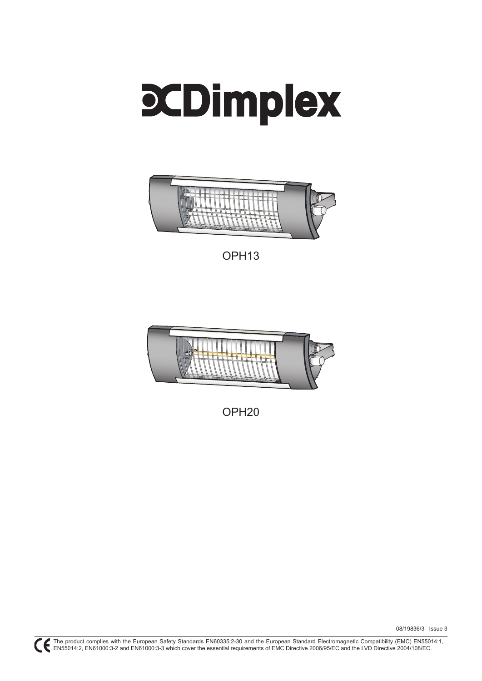



OPH13



OPH20

08/19836/3 Issue 3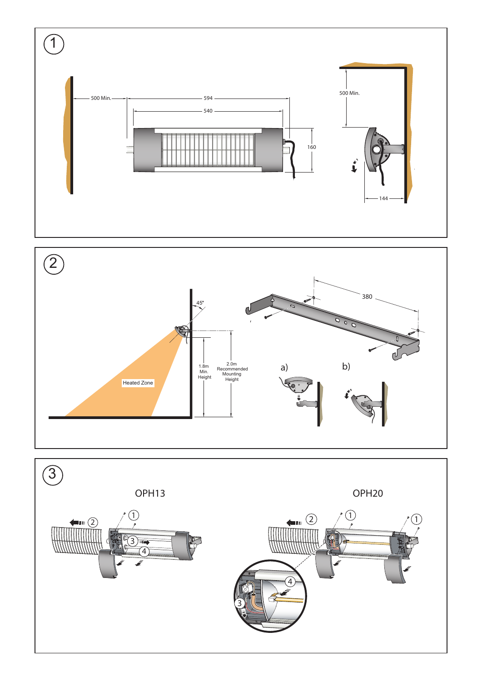



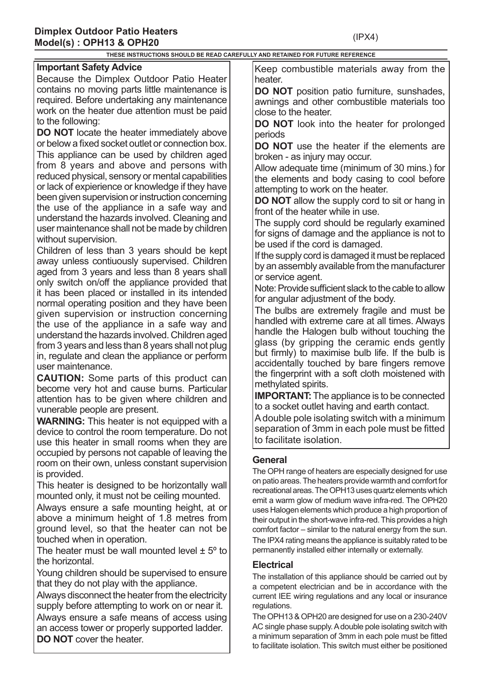**THESE INSTRUCTIONS SHOULD BE READ CAREFULLY AND RETAINED FOR FUTURE REFERENCE**

### **Important Safety Advice**

Because the Dimplex Outdoor Patio Heater contains no moving parts little maintenance is required. Before undertaking any maintenance work on the heater due attention must be paid to the following:

**DO NOT** locate the heater immediately above or below a fixed socket outlet or connection box. This appliance can be used by children aged from 8 years and above and persons with reduced physical, sensory or mental capabilities or lack of expierience or knowledge if they have been given supervision or instruction concerning the use of the appliance in a safe way and understand the hazards involved. Cleaning and user maintenance shall not be made by children without supervision.

Children of less than 3 years should be kept away unless contiuously supervised. Children aged from 3 years and less than 8 years shall only switch on/off the appliance provided that it has been placed or installed in its intended normal operating position and they have been given supervision or instruction concerning the use of the appliance in a safe way and understand the hazards involved. Children aged from 3 years and less than 8 years shall not plug in, regulate and clean the appliance or perform user maintenance.

**CAUTION:** Some parts of this product can become very hot and cause burns. Particular attention has to be given where children and vunerable people are present.

**WARNING:** This heater is not equipped with a device to control the room temperature. Do not use this heater in small rooms when they are occupied by persons not capable of leaving the room on their own, unless constant supervision is provided.

This heater is designed to be horizontally wall mounted only, it must not be ceiling mounted.

Always ensure a safe mounting height, at or above a minimum height of 1.8 metres from ground level, so that the heater can not be touched when in operation.

The heater must be wall mounted level  $\pm$  5 $\degree$  to the horizontal.

Young children should be supervised to ensure that they do not play with the appliance.

Always disconnect the heater from the electricity supply before attempting to work on or near it.

Always ensure a safe means of access using an access tower or properly supported ladder. **DO NOT** cover the heater.

Keep combustible materials away from the heater.

**DO NOT** position patio furniture, sunshades, awnings and other combustible materials too close to the heater.

**DO NOT** look into the heater for prolonged periods

**DO NOT** use the heater if the elements are broken - as injury may occur.

Allow adequate time (minimum of 30 mins.) for the elements and body casing to cool before attempting to work on the heater.

**DO NOT** allow the supply cord to sit or hang in front of the heater while in use.

The supply cord should be regularly examined for signs of damage and the appliance is not to be used if the cord is damaged.

If the supply cord is damaged it must be replaced by an assembly available from the manufacturer or service agent.

Note: Provide sufficient slack to the cable to allow for angular adjustment of the body.

The bulbs are extremely fragile and must be handled with extreme care at all times. Always handle the Halogen bulb without touching the glass (by gripping the ceramic ends gently but firmly) to maximise bulb life. If the bulb is accidentally touched by bare fingers remove the fingerprint with a soft cloth moistened with methylated spirits.

**IMPORTANT:** The appliance is to be connected to a socket outlet having and earth contact.

A double pole isolating switch with a minimum separation of 3mm in each pole must be fitted to facilitate isolation.

## **General**

The OPH range of heaters are especially designed for use on patio areas. The heaters provide warmth and comfort for recreational areas. The OPH13 uses quartz elements which emit a warm glow of medium wave infra-red. The OPH20 uses Halogen elements which produce a high proportion of their output in the short-wave infra-red. This provides a high comfort factor – similar to the natural energy from the sun. The IPX4 rating means the appliance is suitably rated to be permanently installed either internally or externally.

# **Electrical**

The installation of this appliance should be carried out by a competent electrician and be in accordance with the current IEE wiring regulations and any local or insurance regulations.

The OPH13 & OPH20 are designed for use on a 230-240V AC single phase supply. A double pole isolating switch with a minimum separation of 3mm in each pole must be fitted to facilitate isolation. This switch must either be positioned